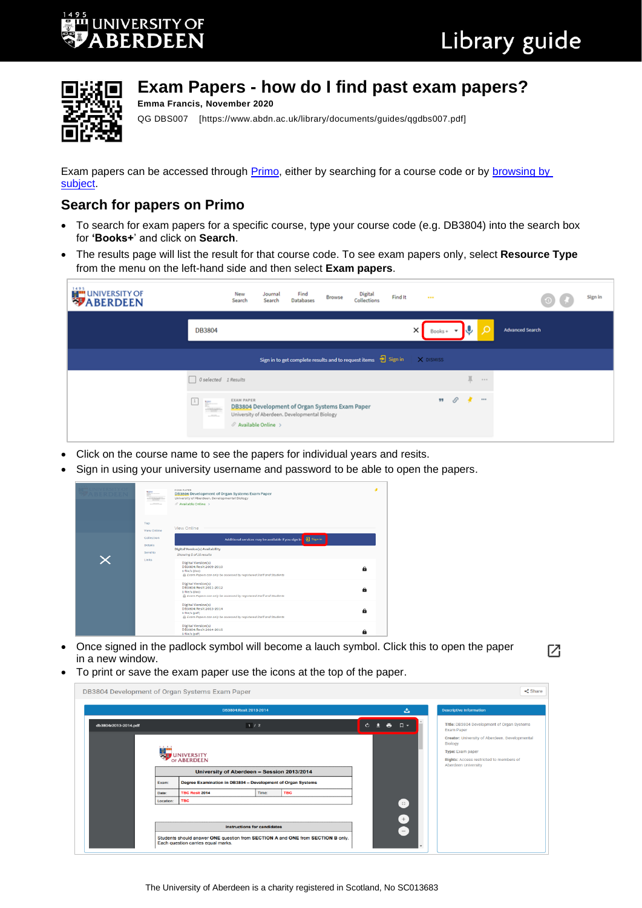Г<sup>7</sup>і



## **Exam Papers - how do I find past exam papers?**

QG DBS007 [https://www.abdn.ac.uk/library/documents/guides/qgdbs007.pdf]

Exam papers can be accessed through [Primo,](https://abdn.primo.exlibrisgroup.com/) either by searching for a course code or by [browsing by](https://abdn.primo.exlibrisgroup.com/discovery/collectionDiscovery?vid=44ABE_INST:44ABE_VU1&collectionId=81151716000005941)  [subject.](https://abdn.primo.exlibrisgroup.com/discovery/collectionDiscovery?vid=44ABE_INST:44ABE_VU1&collectionId=81151716000005941)

## **Search for papers on Primo**

**Emma Francis, November 2020**

- To search for exam papers for a specific course, type your course code (e.g. DB3804) into the search box for **'Books+**' and click on **Search**.
- The results page will list the result for that course code. To see exam papers only, select **Resource Type** from the menu on the left-hand side and then select **Exam papers**.

| 1495<br><b>EXPLANSIVERSITY OF</b> |                                                                                                                                                                                                                                                                                                                                                                                                                                                                                                                                                                                                                                                                                                                                                                                                    | New<br>Search     | Journal<br>Search               | Find<br><b>Databases</b>                                                                        | Browse | Digital<br>Collections                                                     | Find It | 1.11                                       |               |               |          | C.S.<br>$\Theta$       | Sign in |
|-----------------------------------|----------------------------------------------------------------------------------------------------------------------------------------------------------------------------------------------------------------------------------------------------------------------------------------------------------------------------------------------------------------------------------------------------------------------------------------------------------------------------------------------------------------------------------------------------------------------------------------------------------------------------------------------------------------------------------------------------------------------------------------------------------------------------------------------------|-------------------|---------------------------------|-------------------------------------------------------------------------------------------------|--------|----------------------------------------------------------------------------|---------|--------------------------------------------|---------------|---------------|----------|------------------------|---------|
|                                   | DB3804                                                                                                                                                                                                                                                                                                                                                                                                                                                                                                                                                                                                                                                                                                                                                                                             |                   |                                 |                                                                                                 |        |                                                                            |         | $\times$<br>$Books + \n\blacktriangledown$ |               | v             |          | <b>Advanced Search</b> |         |
|                                   |                                                                                                                                                                                                                                                                                                                                                                                                                                                                                                                                                                                                                                                                                                                                                                                                    |                   |                                 |                                                                                                 |        | Sign in to get complete results and to request items $\frac{1}{2}$ Sign in |         | X DISMISS                                  |               |               |          |                        |         |
|                                   | Oselected 1 Results                                                                                                                                                                                                                                                                                                                                                                                                                                                                                                                                                                                                                                                                                                                                                                                |                   |                                 |                                                                                                 |        |                                                                            |         |                                            |               | $\mathbbm{H}$ | $-0.001$ |                        |         |
|                                   | $\begin{tabular}{ c c c c } \hline 1 & $\mathbf{p}_1$ & $\mathbf{p}_2$ \\ \hline \multicolumn{1}{ c }{\multicolumn{1}{ c }{\multicolumn{1}{ c }{\multicolumn{1}{ c }{\multicolumn{1}{ c }{\multicolumn{1}{ c }{\multicolumn{1}{ c }{\multicolumn{1}{ c }{\multicolumn{1}{ c }{\multicolumn{1}{ c }{\multicolumn{1}{ c }{\multicolumn{1}{ c }{\multicolumn{1}{ c }{\multicolumn{1}{ c }{\multicolumn{1}{ c }{\multicolumn{1}{ c }{\$<br>$\frac{1}{2} \sum_{i=1}^n \frac{1}{2} \sum_{i=1}^n \frac{1}{2} \sum_{i=1}^n \frac{1}{2} \sum_{i=1}^n \frac{1}{2} \sum_{i=1}^n \frac{1}{2} \sum_{i=1}^n \frac{1}{2} \sum_{i=1}^n \frac{1}{2} \sum_{i=1}^n \frac{1}{2} \sum_{i=1}^n \frac{1}{2} \sum_{i=1}^n \frac{1}{2} \sum_{i=1}^n \frac{1}{2} \sum_{i=1}^n \frac{1}{2} \sum_{i=1}^n \frac{1}{2} \sum_{i=$ | <b>EXAM PAPER</b> | $\mathcal O$ Available Online > | DB3804 Development of Organ Systems Exam Paper<br>University of Aberdeen. Developmental Biology |        |                                                                            |         | 99                                         | $\mathcal{S}$ | $\cdot$       | 1.11     |                        |         |

- Click on the course name to see the papers for individual years and resits.
- Sign in using your university username and password to be able to open the papers.

|  | ter<br>and the property of                  | <b>EXAM PAPER</b><br>DB3804 Development of Organ Systems Exam Paper<br>University of Aberdeen, Developmental Biology<br>Available Online >                              |              |
|--|---------------------------------------------|-------------------------------------------------------------------------------------------------------------------------------------------------------------------------|--------------|
|  | Top<br>View Online<br>Collection<br>Details | View Online<br><b>B</b> Sign in<br>Additional services may be available if you sign in<br><b>Digital Version(s) Availability</b>                                        |              |
|  | Send to<br>Links                            | Showing 5 of 16 results<br><b>Digital Version(s)</b><br>DB3804:Resit 2009-2010<br>1 file/s (doc)<br>B Exam Papers can only be accessed by registered Staff and Students | $\theta$     |
|  |                                             | <b>Digital Version(s)</b><br>DB3804:Resit 2011-2012<br>1 file/s (doc)<br>B Exam Papers can only be accessed by registered Staff and Students                            | а            |
|  |                                             | <b>Digital Version(s)</b><br>DB3804:Resit 2013-2014<br>1 file/s (pdf)<br>B Exam Papers can only be accessed by registered Staff and Students                            | $\mathbf{a}$ |
|  |                                             | <b>Digital Version(s)</b><br>DB3804:Resit 2014-2015<br>1 file/s (pdf)                                                                                                   | â            |

- Once signed in the padlock symbol will become a lauch symbol. Click this to open the paper in a new window.
- To print or save the exam paper use the icons at the top of the paper.

| $\leq$ Share<br>DB3804 Development of Organ Systems Exam Paper |           |                                                                                                                       |       |            |         |                                                              |                                                                 |  |  |  |
|----------------------------------------------------------------|-----------|-----------------------------------------------------------------------------------------------------------------------|-------|------------|---------|--------------------------------------------------------------|-----------------------------------------------------------------|--|--|--|
|                                                                |           | DB3804:Resit 2013-2014                                                                                                |       |            |         | 医                                                            | <b>Descriptive Information</b>                                  |  |  |  |
| db3804r2013-2014.pdf                                           |           | $1/2$                                                                                                                 |       |            | $\circ$ | $\ddot{\bullet}$<br>$\Box$                                   | Title: DB3804 Development of Organ Systems<br><b>Exam Paper</b> |  |  |  |
|                                                                | $-0.75$   |                                                                                                                       |       |            |         |                                                              | Creator: University of Aberdeen. Developmental<br>Biology       |  |  |  |
|                                                                |           | <b>JUNIVERSITY</b>                                                                                                    |       |            |         |                                                              | Type: Exam paper                                                |  |  |  |
|                                                                |           | OF ABERDEEN                                                                                                           |       |            |         |                                                              | Rights: Access restricted to members of                         |  |  |  |
|                                                                |           | University of Aberdeen - Session 2013/2014                                                                            |       |            |         |                                                              | Aberdeen University                                             |  |  |  |
|                                                                | Exam:     | Degree Examination in DB3804 - Development of Organ Systems                                                           |       |            |         |                                                              |                                                                 |  |  |  |
|                                                                | Date:     | <b>TBC Resit 2014</b>                                                                                                 | Time: | <b>TBC</b> |         |                                                              |                                                                 |  |  |  |
|                                                                | Location: | <b>TBC</b>                                                                                                            |       |            |         | $\left( \begin{array}{c} 0 & 1 \\ 0 & 1 \end{array} \right)$ |                                                                 |  |  |  |
|                                                                |           |                                                                                                                       |       |            |         | $+$                                                          |                                                                 |  |  |  |
|                                                                |           | <b>Instructions for candidates</b>                                                                                    |       |            |         | $\hspace{0.1mm}-\hspace{0.1mm}$                              |                                                                 |  |  |  |
|                                                                |           | Students should answer ONE question from SECTION A and ONE from SECTION B only.<br>Each question carries equal marks. |       |            |         |                                                              |                                                                 |  |  |  |